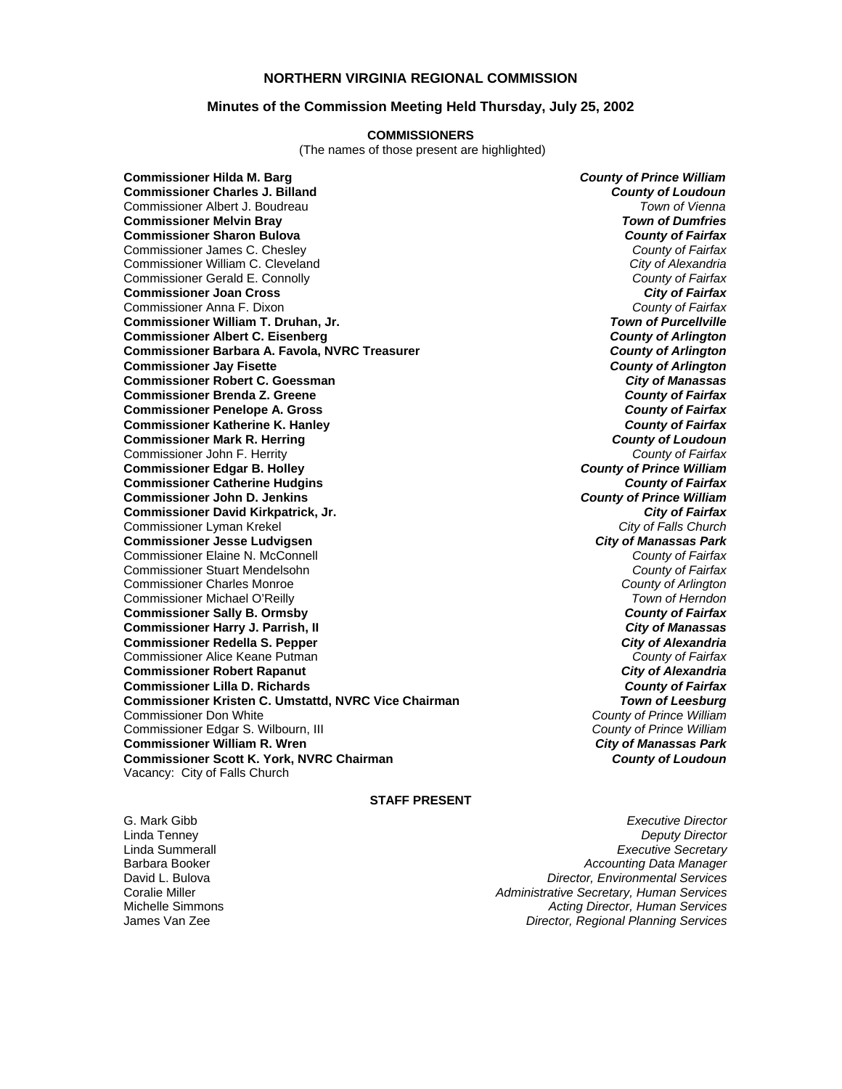# **NORTHERN VIRGINIA REGIONAL COMMISSION**

## **Minutes of the Commission Meeting Held Thursday, July 25, 2002**

#### **COMMISSIONERS**

(The names of those present are highlighted)

**Commissioner Hilda M. Barg** *County of Prince William* **Commissioner Charles J. Billand** *County of Loudoun* Commissioner Albert J. Boudreau *Town of Vienna* **Commissioner Melvin Bray Commissioner Sharon Bulova** *County of Fairfax* Commissioner James C. Chesley *County of Fairfax* Commissioner William C. Cleveland *City of Alexandria* Commissioner Gerald E. Connolly *County of Fairfax* **Commissioner Joan Cross** *City of Fairfax* Commissioner Anna F. Dixon *County of Fairfax* **Commissioner William T. Druhan, Jr. Commissioner Albert C. Eisenberg** *County of Arlington* **Commissioner Barbara A. Favola, NVRC Treasurer** *County of Arlington* **Commissioner Jav Fisette Commissioner Robert C. Goessman** *City of Manassas* **Commissioner Brenda Z. Greene** *County of Fairfax* **Commissioner Penelope A. Gross** *County of Fairfax* **Commissioner Katherine K. Hanley** *County of Fairfax* **Commissioner Mark R. Herring** *County of Loudoun* Commissioner John F. Herrity *County of Fairfax* **Commissioner Edgar B. Holley** *County of Prince William* **Commissioner Catherine Hudgins** *County of Fairfax* **Commissioner John D. Jenkins** *County of Prince William* **Commissioner David Kirkpatrick, Jr.** *City of Fairfax* Commissioner Lyman Krekel *City of Falls Church* **Commissioner Jesse Ludvigsen** *City of Manassas Park* Commissioner Elaine N. McConnell *County of Fairfax* Commissioner Stuart Mendelsohn *County of Fairfax* Commissioner Charles Monroe *County of Arlington* Commissioner Michael O'Reilly *Town of Herndon* **Commissioner Sally B. Ormsby** *County of Fairfax* **Commissioner Harry J. Parrish, II** *City of Manassas* **Commissioner Redella S. Pepper** *City of Alexandria* Commissioner Alice Keane Putman *County of Fairfax* **Commissioner Robert Rapanut** *City of Alexandria* **Commissioner Lilla D. Richards** *County of Fairfax* **Commissioner Kristen C. Umstattd, NVRC Vice Chairman** *Town of Leesburg* Commissioner Don White *County of Prince William* Commissioner Edgar S. Wilbourn, III *County of Prince William* **Commissioner William R. Wren** *City of Manassas Park* **Commissioner Scott K. York, NVRC Chairman** *County of Loudoun* Vacancy: City of Falls Church

#### **STAFF PRESENT**

G. Mark Gibb *Executive Director* Linda Tenney *Deputy Director* Linda Summerall *Executive Secretary* Barbara Booker *Accounting Data Manager* David L. Bulova *Director, Environmental Services* Coralie Miller *Administrative Secretary, Human Services* Acting Director, Human Services James Van Zee *Director, Regional Planning Services*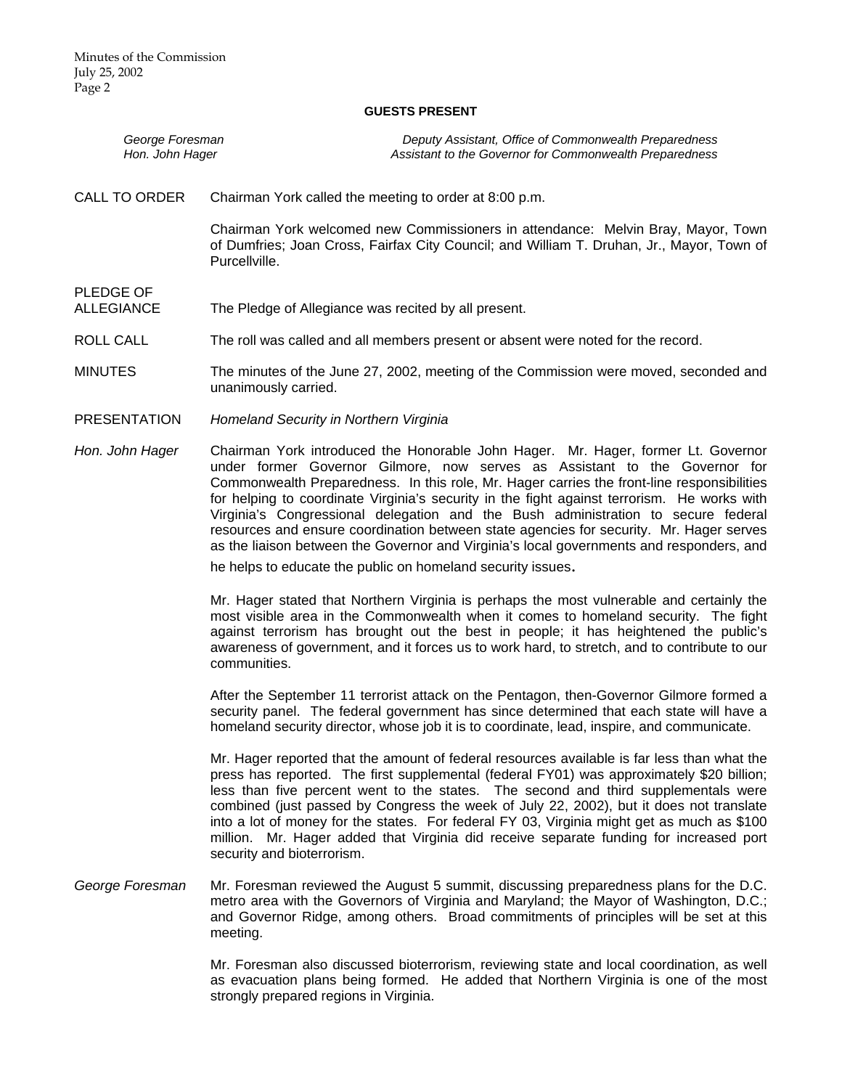#### **GUESTS PRESENT**

| George Foresman | Deputy Assistant, Office of Commonwealth Preparedness   |
|-----------------|---------------------------------------------------------|
| Hon. John Hager | Assistant to the Governor for Commonwealth Preparedness |

CALL TO ORDER Chairman York called the meeting to order at 8:00 p.m.

Chairman York welcomed new Commissioners in attendance: Melvin Bray, Mayor, Town of Dumfries; Joan Cross, Fairfax City Council; and William T. Druhan, Jr., Mayor, Town of Purcellville.

PLEDGE OF

ALLEGIANCE The Pledge of Allegiance was recited by all present.

ROLL CALL The roll was called and all members present or absent were noted for the record.

MINUTES The minutes of the June 27, 2002, meeting of the Commission were moved, seconded and unanimously carried.

- PRESENTATION *Homeland Security in Northern Virginia*
- *Hon. John Hager* Chairman York introduced the Honorable John Hager. Mr. Hager, former Lt. Governor under former Governor Gilmore, now serves as Assistant to the Governor for Commonwealth Preparedness. In this role, Mr. Hager carries the front-line responsibilities for helping to coordinate Virginia's security in the fight against terrorism. He works with Virginia's Congressional delegation and the Bush administration to secure federal resources and ensure coordination between state agencies for security. Mr. Hager serves as the liaison between the Governor and Virginia's local governments and responders, and

he helps to educate the public on homeland security issues.

Mr. Hager stated that Northern Virginia is perhaps the most vulnerable and certainly the most visible area in the Commonwealth when it comes to homeland security. The fight against terrorism has brought out the best in people; it has heightened the public's awareness of government, and it forces us to work hard, to stretch, and to contribute to our communities.

After the September 11 terrorist attack on the Pentagon, then-Governor Gilmore formed a security panel. The federal government has since determined that each state will have a homeland security director, whose job it is to coordinate, lead, inspire, and communicate.

Mr. Hager reported that the amount of federal resources available is far less than what the press has reported. The first supplemental (federal FY01) was approximately \$20 billion; less than five percent went to the states. The second and third supplementals were combined (just passed by Congress the week of July 22, 2002), but it does not translate into a lot of money for the states. For federal FY 03, Virginia might get as much as \$100 million. Mr. Hager added that Virginia did receive separate funding for increased port security and bioterrorism.

*George Foresman* Mr. Foresman reviewed the August 5 summit, discussing preparedness plans for the D.C. metro area with the Governors of Virginia and Maryland; the Mayor of Washington, D.C.; and Governor Ridge, among others. Broad commitments of principles will be set at this meeting.

> Mr. Foresman also discussed bioterrorism, reviewing state and local coordination, as well as evacuation plans being formed. He added that Northern Virginia is one of the most strongly prepared regions in Virginia.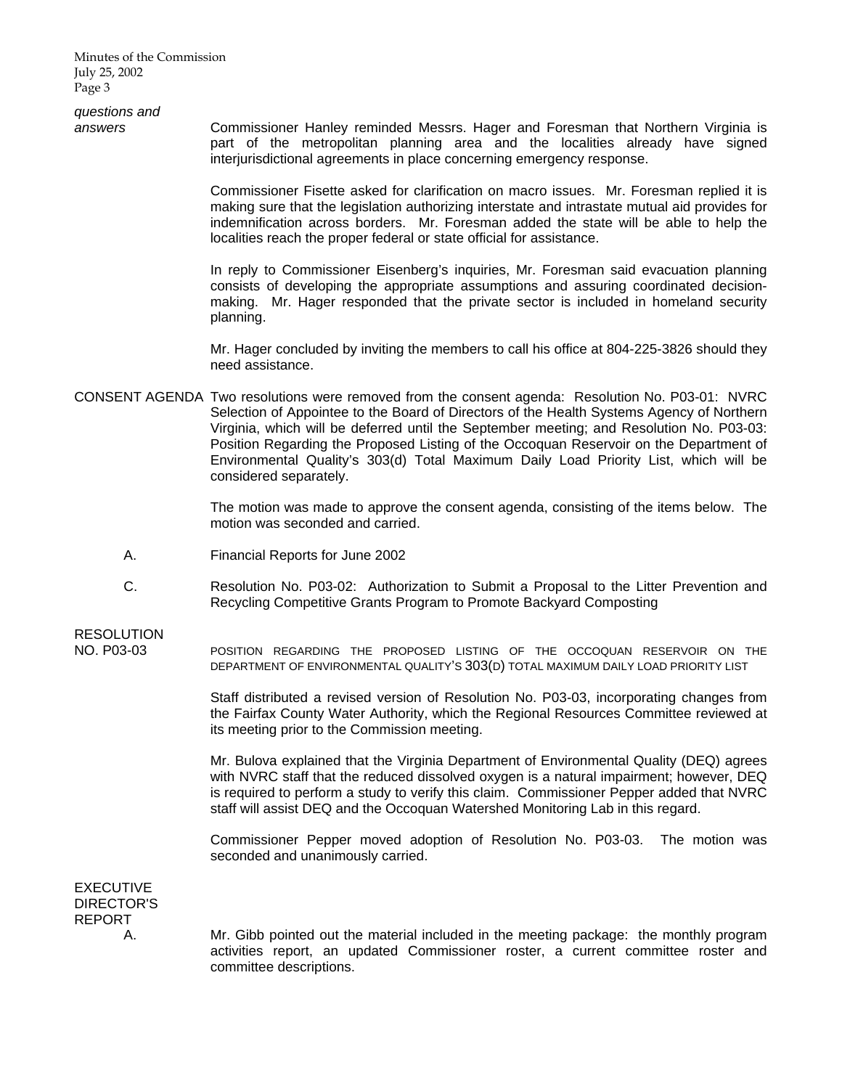Minutes of the Commission July 25, 2002 Page 3

*questions and* 

*answers* Commissioner Hanley reminded Messrs. Hager and Foresman that Northern Virginia is part of the metropolitan planning area and the localities already have signed interjurisdictional agreements in place concerning emergency response.

> Commissioner Fisette asked for clarification on macro issues. Mr. Foresman replied it is making sure that the legislation authorizing interstate and intrastate mutual aid provides for indemnification across borders. Mr. Foresman added the state will be able to help the localities reach the proper federal or state official for assistance.

> In reply to Commissioner Eisenberg's inquiries, Mr. Foresman said evacuation planning consists of developing the appropriate assumptions and assuring coordinated decisionmaking. Mr. Hager responded that the private sector is included in homeland security planning.

> Mr. Hager concluded by inviting the members to call his office at 804-225-3826 should they need assistance.

CONSENT AGENDA Two resolutions were removed from the consent agenda: Resolution No. P03-01: NVRC Selection of Appointee to the Board of Directors of the Health Systems Agency of Northern Virginia, which will be deferred until the September meeting; and Resolution No. P03-03: Position Regarding the Proposed Listing of the Occoquan Reservoir on the Department of Environmental Quality's 303(d) Total Maximum Daily Load Priority List, which will be considered separately.

> The motion was made to approve the consent agenda, consisting of the items below. The motion was seconded and carried.

- A. Financial Reports for June 2002
- C. Resolution No. P03-02: Authorization to Submit a Proposal to the Litter Prevention and Recycling Competitive Grants Program to Promote Backyard Composting

RESOLUTION

NO. P03-03 POSITION REGARDING THE PROPOSED LISTING OF THE OCCOQUAN RESERVOIR ON THE DEPARTMENT OF ENVIRONMENTAL QUALITY'S 303(D) TOTAL MAXIMUM DAILY LOAD PRIORITY LIST

> Staff distributed a revised version of Resolution No. P03-03, incorporating changes from the Fairfax County Water Authority, which the Regional Resources Committee reviewed at its meeting prior to the Commission meeting.

> Mr. Bulova explained that the Virginia Department of Environmental Quality (DEQ) agrees with NVRC staff that the reduced dissolved oxygen is a natural impairment; however, DEQ is required to perform a study to verify this claim. Commissioner Pepper added that NVRC staff will assist DEQ and the Occoquan Watershed Monitoring Lab in this regard.

> Commissioner Pepper moved adoption of Resolution No. P03-03. The motion was seconded and unanimously carried.

EXECUTIVE DIRECTOR'S REPORT

 A. Mr. Gibb pointed out the material included in the meeting package: the monthly program activities report, an updated Commissioner roster, a current committee roster and committee descriptions.